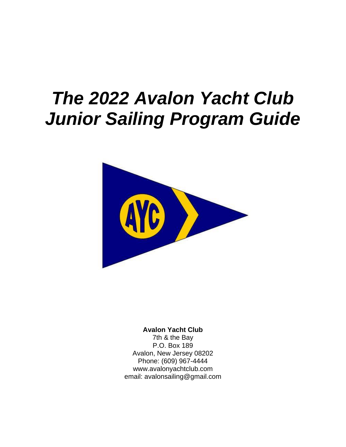# *The 2022 Avalon Yacht Club Junior Sailing Program Guide*



**Avalon Yacht Club** 7th & the Bay P.O. Box 189 Avalon, New Jersey 08202 Phone: (609) 967-4444 www.avalonyachtclub.com email: avalonsailing@gmail.com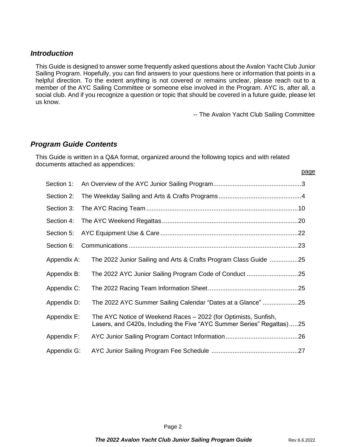#### *Introduction*

This Guide is designed to answer some frequently asked questions about the Avalon Yacht Club Junior Sailing Program. Hopefully, you can find answers to your questions here or information that points in a helpful direction. To the extent anything is not covered or remains unclear, please reach out to a member of the AYC Sailing Committee or someone else involved in the Program. AYC is, after all, a social club. And if you recognize a question or topic that should be covered in a future guide, please let us know.

-- The Avalon Yacht Club Sailing Committee

#### *Program Guide Contents*

This Guide is written in a Q&A format, organized around the following topics and with related documents attached as appendices:

| Section 1:  |                                                                                                                                          |
|-------------|------------------------------------------------------------------------------------------------------------------------------------------|
| Section 2:  |                                                                                                                                          |
| Section 3:  |                                                                                                                                          |
| Section 4:  | .20                                                                                                                                      |
| Section 5:  |                                                                                                                                          |
| Section 6:  |                                                                                                                                          |
| Appendix A: | The 2022 Junior Sailing and Arts & Crafts Program Class Guide 25                                                                         |
| Appendix B: | The 2022 AYC Junior Sailing Program Code of Conduct 25                                                                                   |
| Appendix C: |                                                                                                                                          |
| Appendix D: | The 2022 AYC Summer Sailing Calendar "Dates at a Glance" 25                                                                              |
| Appendix E: | The AYC Notice of Weekend Races – 2022 (for Optimists, Sunfish,<br>Lasers, and C420s, Including the Five "AYC Summer Series" Regattas)25 |
| Appendix F: |                                                                                                                                          |
| Appendix G: |                                                                                                                                          |

page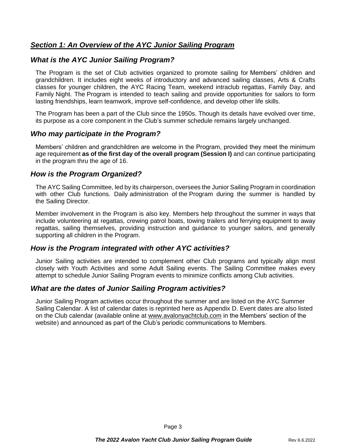# *Section 1: An Overview of the AYC Junior Sailing Program*

# *What is the AYC Junior Sailing Program?*

The Program is the set of Club activities organized to promote sailing for Members' children and grandchildren. It includes eight weeks of introductory and advanced sailing classes, Arts & Crafts classes for younger children, the AYC Racing Team, weekend intraclub regattas, Family Day, and Family Night. The Program is intended to teach sailing and provide opportunities for sailors to form lasting friendships, learn teamwork, improve self-confidence, and develop other life skills.

The Program has been a part of the Club since the 1950s. Though its details have evolved over time, its purpose as a core component in the Club's summer schedule remains largely unchanged.

#### *Who may participate in the Program?*

Members' children and grandchildren are welcome in the Program, provided they meet the minimum age requirement **as of the first day of the overall program (Session I)** and can continue participating in the program thru the age of 16.

## *How is the Program Organized?*

The AYC Sailing Committee, led by its chairperson, oversees the Junior Sailing Program in coordination with other Club functions. Daily administration of the Program during the summer is handled by the Sailing Director.

Member involvement in the Program is also key. Members help throughout the summer in ways that include volunteering at regattas, crewing patrol boats, towing trailers and ferrying equipment to away regattas, sailing themselves, providing instruction and guidance to younger sailors, and generally supporting all children in the Program.

## *How is the Program integrated with other AYC activities?*

Junior Sailing activities are intended to complement other Club programs and typically align most closely with Youth Activities and some Adult Sailing events. The Sailing Committee makes every attempt to schedule Junior Sailing Program events to minimize conflicts among Club activities.

## *What are the dates of Junior Sailing Program activities?*

Junior Sailing Program activities occur throughout the summer and are listed on the AYC Summer Sailing Calendar. A list of calendar dates is reprinted here as Appendix D. Event dates are also listed on the Club calendar (available online at www.avalonyachtclub.com in the Members' section of the website) and announced as part of the Club's periodic communications to Members.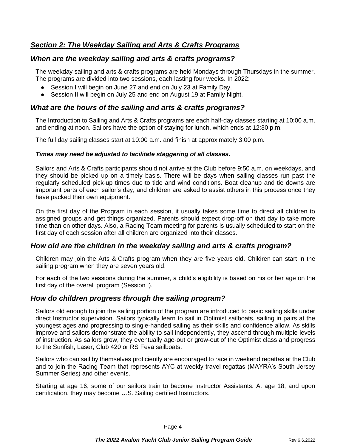# *Section 2: The Weekday Sailing and Arts & Crafts Programs*

# *When are the weekday sailing and arts & crafts programs?*

The weekday sailing and arts & crafts programs are held Mondays through Thursdays in the summer. The programs are divided into two sessions, each lasting four weeks. In 2022:

- Session I will begin on June 27 and end on July 23 at Family Day.
- Session II will begin on July 25 and end on August 19 at Family Night.

#### *What are the hours of the sailing and arts & crafts programs?*

The Introduction to Sailing and Arts & Crafts programs are each half-day classes starting at 10:00 a.m. and ending at noon. Sailors have the option of staying for lunch, which ends at 12:30 p.m.

The full day sailing classes start at 10:00 a.m. and finish at approximately 3:00 p.m.

#### *Times may need be adjusted to facilitate staggering of all classes.*

Sailors and Arts & Crafts participants should not arrive at the Club before 9:50 a.m. on weekdays, and they should be picked up on a timely basis. There will be days when sailing classes run past the regularly scheduled pick-up times due to tide and wind conditions. Boat cleanup and tie downs are important parts of each sailor's day, and children are asked to assist others in this process once they have packed their own equipment.

On the first day of the Program in each session, it usually takes some time to direct all children to assigned groups and get things organized. Parents should expect drop-off on that day to take more time than on other days. Also, a Racing Team meeting for parents is usually scheduled to start on the first day of each session after all children are organized into their classes.

## *How old are the children in the weekday sailing and arts & crafts program?*

Children may join the Arts & Crafts program when they are five years old. Children can start in the sailing program when they are seven years old.

For each of the two sessions during the summer, a child's eligibility is based on his or her age on the first day of the overall program (Session I).

## *How do children progress through the sailing program?*

Sailors old enough to join the sailing portion of the program are introduced to basic sailing skills under direct Instructor supervision. Sailors typically learn to sail in Optimist sailboats, sailing in pairs at the youngest ages and progressing to single-handed sailing as their skills and confidence allow. As skills improve and sailors demonstrate the ability to sail independently, they ascend through multiple levels of instruction. As sailors grow, they eventually age-out or grow-out of the Optimist class and progress to the Sunfish, Laser, Club 420 or RS Feva sailboats.

Sailors who can sail by themselves proficiently are encouraged to race in weekend regattas at the Club and to join the Racing Team that represents AYC at weekly travel regattas (MAYRA's South Jersey Summer Series) and other events.

Starting at age 16, some of our sailors train to become Instructor Assistants. At age 18, and upon certification, they may become U.S. Sailing certified Instructors.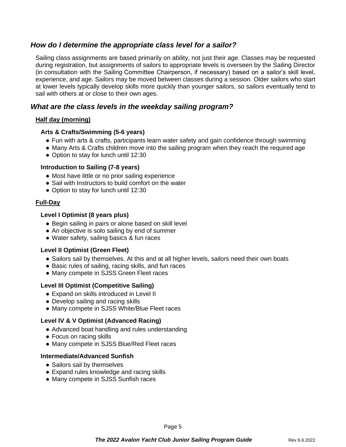# *How do I determine the appropriate class level for a sailor?*

Sailing class assignments are based primarily on ability, not just their age. Classes may be requested during registration, but assignments of sailors to appropriate levels is overseen by the Sailing Director (in consultation with the Sailing Committee Chairperson, if necessary) based on a sailor's skill level, experience, and age. Sailors may be moved between classes during a session. Older sailors who start at lower levels typically develop skills more quickly than younger sailors, so sailors eventually tend to sail with others at or close to their own ages.

## *What are the class levels in the weekday sailing program?*

#### **Half day (morning)**

#### **Arts & Crafts/Swimming (5-6 years)**

- Fun with arts & crafts, participants learn water safety and gain confidence through swimming
- Many Arts & Crafts children move into the sailing program when they reach the required age
- Option to stay for lunch until 12:30

#### **Introduction to Sailing (7-8 years)**

- Most have little or no prior sailing experience
- Sail with Instructors to build comfort on the water
- Option to stay for lunch until 12:30

#### **Full-Day**

#### **Level I Optimist (8 years plus)**

- Begin sailing in pairs or alone based on skill level
- An objective is solo sailing by end of summer
- Water safety, sailing basics & fun races

#### **Level II Optimist (Green Fleet)**

- Sailors sail by themselves. At this and at all higher levels, sailors need their own boats
- Basic rules of sailing, racing skills, and fun races
- Many compete in SJSS Green Fleet races

#### **Level III Optimist (Competitive Sailing)**

- Expand on skills introduced in Level II
- Develop sailing and racing skills
- Many compete in SJSS White/Blue Fleet races

#### **Level IV & V Optimist (Advanced Racing)**

- Advanced boat handling and rules understanding
- Focus on racing skills
- Many compete in SJSS Blue/Red Fleet races

#### **Intermediate/Advanced Sunfish**

- Sailors sail by themselves
- Expand rules knowledge and racing skills
- Many compete in SJSS Sunfish races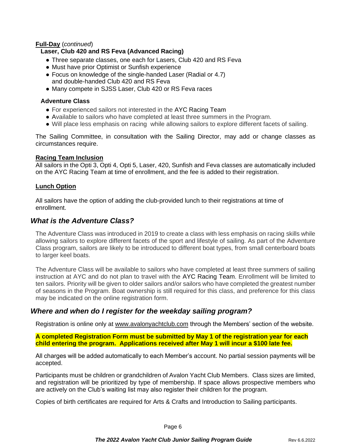#### **Full-Day** (*continued*)

#### **Laser, Club 420 and RS Feva (Advanced Racing)**

- Three separate classes, one each for Lasers, Club 420 and RS Feva
- Must have prior Optimist or Sunfish experience
- Focus on knowledge of the single-handed Laser (Radial or 4.7) and double-handed Club 420 and RS Feva
- Many compete in SJSS Laser, Club 420 or RS Feva races

#### **Adventure Class**

- For experienced sailors not interested in the AYC Racing Team
- Available to sailors who have completed at least three summers in the Program.
- Will place less emphasis on racing while allowing sailors to explore different facets of sailing.

The Sailing Committee, in consultation with the Sailing Director, may add or change classes as circumstances require.

#### **Racing Team Inclusion**

All sailors in the Opti 3, Opti 4, Opti 5, Laser, 420, Sunfish and Feva classes are automatically included on the AYC Racing Team at time of enrollment, and the fee is added to their registration.

#### **Lunch Option**

All sailors have the option of adding the club-provided lunch to their registrations at time of enrollment.

#### *What is the Adventure Class?*

The Adventure Class was introduced in 2019 to create a class with less emphasis on racing skills while allowing sailors to explore different facets of the sport and lifestyle of sailing. As part of the Adventure Class program, sailors are likely to be introduced to different boat types, from small centerboard boats to larger keel boats.

The Adventure Class will be available to sailors who have completed at least three summers of sailing instruction at AYC and do not plan to travel with the AYC Racing Team. Enrollment will be limited to ten sailors. Priority will be given to older sailors and/or sailors who have completed the greatest number of seasons in the Program. Boat ownership is still required for this class, and preference for this class may be indicated on the online registration form.

## *Where and when do I register for the weekday sailing program?*

Registration is online only at www.avalonyachtclub.com through the Members' section of the website.

**A completed Registration Form must be submitted by May 1 of the registration year for each child entering the program. Applications received after May 1 will incur a \$100 late fee.**

All charges will be added automatically to each Member's account. No partial session payments will be accepted.

Participants must be children or grandchildren of Avalon Yacht Club Members. Class sizes are limited, and registration will be prioritized by type of membership. If space allows prospective members who are actively on the Club's waiting list may also register their children for the program.

Copies of birth certificates are required for Arts & Crafts and Introduction to Sailing participants.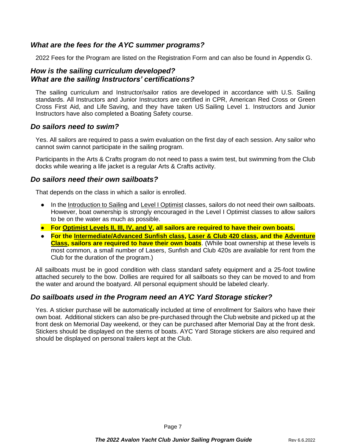# *What are the fees for the AYC summer programs?*

2022 Fees for the Program are listed on the Registration Form and can also be found in Appendix G.

## *How is the sailing curriculum developed? What are the sailing Instructors' certifications?*

The sailing curriculum and Instructor/sailor ratios are developed in accordance with U.S. Sailing standards. All Instructors and Junior Instructors are certified in CPR, American Red Cross or Green Cross First Aid, and Life Saving, and they have taken US Sailing Level 1. Instructors and Junior Instructors have also completed a Boating Safety course.

## *Do sailors need to swim?*

Yes. All sailors are required to pass a swim evaluation on the first day of each session. Any sailor who cannot swim cannot participate in the sailing program.

Participants in the Arts & Crafts program do not need to pass a swim test, but swimming from the Club docks while wearing a life jacket is a regular Arts & Crafts activity.

## *Do sailors need their own sailboats?*

That depends on the class in which a sailor is enrolled.

- In the Introduction to Sailing and Level I Optimist classes, sailors do not need their own sailboats. However, boat ownership is strongly encouraged in the Level I Optimist classes to allow sailors to be on the water as much as possible.
- **For Optimist Levels II, III, IV, and V, all sailors are required to have their own boats.**
- **For the Intermediate/Advanced Sunfish class, Laser & Club 420 class, and the Adventure Class, sailors are required to have their own boats**. (While boat ownership at these levels is most common, a small number of Lasers, Sunfish and Club 420s are available for rent from the Club for the duration of the program.)

All sailboats must be in good condition with class standard safety equipment and a 25-foot towline attached securely to the bow. Dollies are required for all sailboats so they can be moved to and from the water and around the boatyard. All personal equipment should be labeled clearly.

# *Do sailboats used in the Program need an AYC Yard Storage sticker?*

Yes. A sticker purchase will be automatically included at time of enrollment for Sailors who have their own boat. Additional stickers can also be pre-purchased through the Club website and picked up at the front desk on Memorial Day weekend, or they can be purchased after Memorial Day at the front desk. Stickers should be displayed on the sterns of boats. AYC Yard Storage stickers are also required and should be displayed on personal trailers kept at the Club.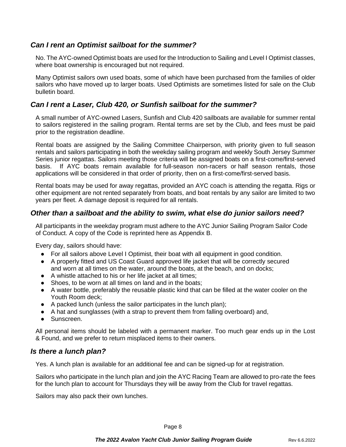# *Can I rent an Optimist sailboat for the summer?*

No. The AYC-owned Optimist boats are used for the Introduction to Sailing and Level I Optimist classes, where boat ownership is encouraged but not required.

Many Optimist sailors own used boats, some of which have been purchased from the families of older sailors who have moved up to larger boats. Used Optimists are sometimes listed for sale on the Club bulletin board.

# *Can I rent a Laser, Club 420, or Sunfish sailboat for the summer?*

A small number of AYC-owned Lasers, Sunfish and Club 420 sailboats are available for summer rental to sailors registered in the sailing program. Rental terms are set by the Club, and fees must be paid prior to the registration deadline.

Rental boats are assigned by the Sailing Committee Chairperson, with priority given to full season rentals and sailors participating in both the weekday sailing program and weekly South Jersey Summer Series junior regattas. Sailors meeting those criteria will be assigned boats on a first-come/first-served basis. If AYC boats remain available for full-season non-racers or half season rentals, those applications will be considered in that order of priority, then on a first-come/first-served basis.

Rental boats may be used for away regattas, provided an AYC coach is attending the regatta. Rigs or other equipment are not rented separately from boats, and boat rentals by any sailor are limited to two years per fleet. A damage deposit is required for all rentals.

## *Other than a sailboat and the ability to swim, what else do junior sailors need?*

All participants in the weekday program must adhere to the AYC Junior Sailing Program Sailor Code of Conduct. A copy of the Code is reprinted here as Appendix B.

Every day, sailors should have:

- For all sailors above Level I Optimist, their boat with all equipment in good condition.
- A properly fitted and US Coast Guard approved life jacket that will be correctly secured and worn at all times on the water, around the boats, at the beach, and on docks;
- A whistle attached to his or her life jacket at all times;
- Shoes, to be worn at all times on land and in the boats;
- A water bottle, preferably the reusable plastic kind that can be filled at the water cooler on the Youth Room deck;
- A packed lunch (unless the sailor participates in the lunch plan);
- A hat and sunglasses (with a strap to prevent them from falling overboard) and,
- Sunscreen.

All personal items should be labeled with a permanent marker. Too much gear ends up in the Lost & Found, and we prefer to return misplaced items to their owners.

## *Is there a lunch plan?*

Yes. A lunch plan is available for an additional fee and can be signed-up for at registration.

Sailors who participate in the lunch plan and join the AYC Racing Team are allowed to pro-rate the fees for the lunch plan to account for Thursdays they will be away from the Club for travel regattas.

Sailors may also pack their own lunches.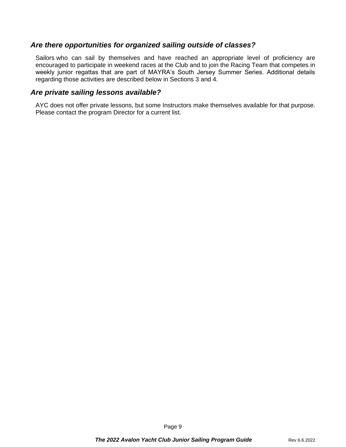## *Are there opportunities for organized sailing outside of classes?*

Sailors who can sail by themselves and have reached an appropriate level of proficiency are encouraged to participate in weekend races at the Club and to join the Racing Team that competes in weekly junior regattas that are part of MAYRA's South Jersey Summer Series. Additional details regarding those activities are described below in Sections 3 and 4.

#### *Are private sailing lessons available?*

AYC does not offer private lessons, but some Instructors make themselves available for that purpose. Please contact the program Director for a current list.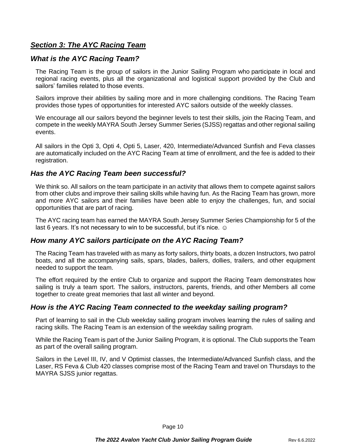# *Section 3: The AYC Racing Team*

# *What is the AYC Racing Team?*

The Racing Team is the group of sailors in the Junior Sailing Program who participate in local and regional racing events, plus all the organizational and logistical support provided by the Club and sailors' families related to those events.

Sailors improve their abilities by sailing more and in more challenging conditions. The Racing Team provides those types of opportunities for interested AYC sailors outside of the weekly classes.

We encourage all our sailors beyond the beginner levels to test their skills, join the Racing Team, and compete in the weekly MAYRA South Jersey Summer Series (SJSS) regattas and other regional sailing events.

All sailors in the Opti 3, Opti 4, Opti 5, Laser, 420, Intermediate/Advanced Sunfish and Feva classes are automatically included on the AYC Racing Team at time of enrollment, and the fee is added to their registration.

# *Has the AYC Racing Team been successful?*

We think so. All sailors on the team participate in an activity that allows them to compete against sailors from other clubs and improve their sailing skills while having fun. As the Racing Team has grown, more and more AYC sailors and their families have been able to enjoy the challenges, fun, and social opportunities that are part of racing.

The AYC racing team has earned the MAYRA South Jersey Summer Series Championship for 5 of the last 6 years. It's not necessary to win to be successful, but it's nice.  $\odot$ 

## *How many AYC sailors participate on the AYC Racing Team?*

The Racing Team has traveled with as many as forty sailors, thirty boats, a dozen Instructors, two patrol boats, and all the accompanying sails, spars, blades, bailers, dollies, trailers, and other equipment needed to support the team.

The effort required by the entire Club to organize and support the Racing Team demonstrates how sailing is truly a team sport. The sailors, instructors, parents, friends, and other Members all come together to create great memories that last all winter and beyond.

## *How is the AYC Racing Team connected to the weekday sailing program?*

Part of learning to sail in the Club weekday sailing program involves learning the rules of sailing and racing skills. The Racing Team is an extension of the weekday sailing program.

While the Racing Team is part of the Junior Sailing Program, it is optional. The Club supports the Team as part of the overall sailing program.

Sailors in the Level III, IV, and V Optimist classes, the Intermediate/Advanced Sunfish class, and the Laser, RS Feva & Club 420 classes comprise most of the Racing Team and travel on Thursdays to the MAYRA SJSS junior regattas.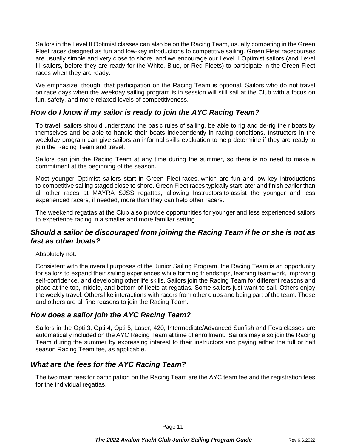Sailors in the Level II Optimist classes can also be on the Racing Team, usually competing in the Green Fleet races designed as fun and low-key introductions to competitive sailing. Green Fleet racecourses are usually simple and very close to shore, and we encourage our Level II Optimist sailors (and Level III sailors, before they are ready for the White, Blue, or Red Fleets) to participate in the Green Fleet races when they are ready.

We emphasize, though, that participation on the Racing Team is optional. Sailors who do not travel on race days when the weekday sailing program is in session will still sail at the Club with a focus on fun, safety, and more relaxed levels of competitiveness.

# *How do I know if my sailor is ready to join the AYC Racing Team?*

To travel, sailors should understand the basic rules of sailing, be able to rig and de-rig their boats by themselves and be able to handle their boats independently in racing conditions. Instructors in the weekday program can give sailors an informal skills evaluation to help determine if they are ready to join the Racing Team and travel.

Sailors can join the Racing Team at any time during the summer, so there is no need to make a commitment at the beginning of the season.

Most younger Optimist sailors start in Green Fleet races, which are fun and low-key introductions to competitive sailing staged close to shore. Green Fleet races typically start later and finish earlier than all other races at MAYRA SJSS regattas, allowing Instructors to assist the younger and less experienced racers, if needed, more than they can help other racers.

The weekend regattas at the Club also provide opportunities for younger and less experienced sailors to experience racing in a smaller and more familiar setting.

# *Should a sailor be discouraged from joining the Racing Team if he or she is not as fast as other boats?*

Absolutely not.

Consistent with the overall purposes of the Junior Sailing Program, the Racing Team is an opportunity for sailors to expand their sailing experiences while forming friendships, learning teamwork, improving self-confidence, and developing other life skills. Sailors join the Racing Team for different reasons and place at the top, middle, and bottom of fleets at regattas. Some sailors just want to sail. Others enjoy the weekly travel. Others like interactions with racers from other clubs and being part of the team. These and others are all fine reasons to join the Racing Team.

# *How does a sailor join the AYC Racing Team?*

Sailors in the Opti 3, Opti 4, Opti 5, Laser, 420, Intermediate/Advanced Sunfish and Feva classes are automatically included on the AYC Racing Team at time of enrollment. Sailors may also join the Racing Team during the summer by expressing interest to their instructors and paying either the full or half season Racing Team fee, as applicable.

# *What are the fees for the AYC Racing Team?*

The two main fees for participation on the Racing Team are the AYC team fee and the registration fees for the individual regattas.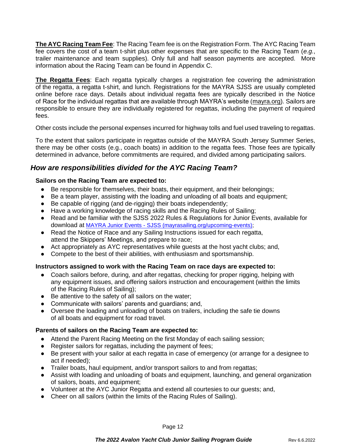**The AYC Racing Team Fee**: The Racing Team fee is on the Registration Form. The AYC Racing Team fee covers the cost of a team t-shirt plus other expenses that are specific to the Racing Team (*e.g.*, trailer maintenance and team supplies). Only full and half season payments are accepted. More information about the Racing Team can be found in Appendix C.

**The Regatta Fees**: Each regatta typically charges a registration fee covering the administration of the regatta, a regatta t-shirt, and lunch. Registrations for the MAYRA SJSS are usually completed online before race days. Details about individual regatta fees are typically described in the Notice of Race for the individual regattas that are available through MAYRA's website (mayra.org). Sailors are responsible to ensure they are individually registered for regattas, including the payment of required fees.

Other costs include the personal expenses incurred for highway tolls and fuel used traveling to regattas.

To the extent that sailors participate in regattas outside of the MAYRA South Jersey Summer Series, there may be other costs (e.g., coach boats) in addition to the regatta fees. Those fees are typically determined in advance, before commitments are required, and divided among participating sailors.

# *How are responsibilities divided for the AYC Racing Team?*

#### **Sailors on the Racing Team are expected to:**

- Be responsible for themselves, their boats, their equipment, and their belongings;
- Be a team player, assisting with the loading and unloading of all boats and equipment;
- Be capable of rigging (and de-rigging) their boats independently;
- Have a working knowledge of racing skills and the Racing Rules of Sailing;
- Read and be familiar with the SJSS 2022 Rules & Regulations for Junior Events, available for download at [MAYRA Junior Events -](https://mayrasailing.org/upcoming-events) SJSS [\(mayrasailing.org/upcoming-events\)](https://mayrasailing.org/upcoming-events);
- Read the Notice of Race and any Sailing Instructions issued for each regatta, attend the Skippers' Meetings, and prepare to race;
- Act appropriately as AYC representatives while quests at the host yacht clubs; and,
- Compete to the best of their abilities, with enthusiasm and sportsmanship.

#### **Instructors assigned to work with the Racing Team on race days are expected to:**

- Coach sailors before, during, and after regattas, checking for proper rigging, helping with any equipment issues, and offering sailors instruction and encouragement (within the limits of the Racing Rules of Sailing);
- Be attentive to the safety of all sailors on the water;
- Communicate with sailors' parents and guardians; and,
- Oversee the loading and unloading of boats on trailers, including the safe tie downs of all boats and equipment for road travel.

#### **Parents of sailors on the Racing Team are expected to:**

- Attend the Parent Racing Meeting on the first Monday of each sailing session;
- Register sailors for regattas, including the payment of fees;
- Be present with your sailor at each regatta in case of emergency (or arrange for a designee to act if needed);
- Trailer boats, haul equipment, and/or transport sailors to and from regattas;
- Assist with loading and unloading of boats and equipment, launching, and general organization of sailors, boats, and equipment;
- Volunteer at the AYC Junior Regatta and extend all courtesies to our guests; and,
- Cheer on all sailors (within the limits of the Racing Rules of Sailing).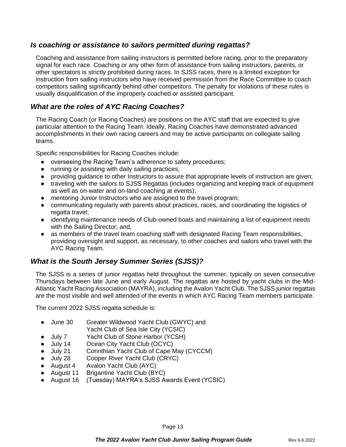# *Is coaching or assistance to sailors permitted during regattas?*

Coaching and assistance from sailing instructors is permitted before racing, prior to the preparatory signal for each race. Coaching or any other form of assistance from sailing instructors, parents, or other spectators is strictly prohibited during races. In SJSS races, there is a limited exception for instruction from sailing instructors who have received permission from the Race Committee to coach competitors sailing significantly behind other competitors. The penalty for violations of these rules is usually disqualification of the improperly coached or assisted participant.

# *What are the roles of AYC Racing Coaches?*

The Racing Coach (or Racing Coaches) are positions on the AYC staff that are expected to give particular attention to the Racing Team. Ideally, Racing Coaches have demonstrated advanced accomplishments in their own racing careers and may be active participants on collegiate sailing teams.

Specific responsibilities for Racing Coaches include:

- overseeing the Racing Team's adherence to safety procedures;
- running or assisting with daily sailing practices;
- providing guidance to other Instructors to assure that appropriate levels of instruction are given;
- traveling with the sailors to SJSS Regattas (includes organizing and keeping track of equipment as well as on-water and on-land coaching at events);
- mentoring Junior Instructors who are assigned to the travel program;
- communicating regularly with parents about practices, races, and coordinating the logistics of regatta travel;
- identifying maintenance needs of Club-owned boats and maintaining a list of equipment needs with the Sailing Director; and,
- as members of the travel team coaching staff with designated Racing Team responsibilities, providing oversight and support, as necessary, to other coaches and sailors who travel with the AYC Racing Team.

# *What is the South Jersey Summer Series (SJSS)?*

The SJSS is a series of junior regattas held throughout the summer, typically on seven consecutive Thursdays between late June and early August. The regattas are hosted by yacht clubs in the Mid-Atlantic Yacht Racing Association (MAYRA), including the Avalon Yacht Club. The SJSS junior regattas are the most visible and well attended of the events in which AYC Racing Team members participate.

The current 2022 SJSS regatta schedule is:

- June 30 Greater Wildwood Yacht Club (GWYC) and Yacht Club of Sea Isle City (YCSIC)
- July 7 Yacht Club of Stone Harbor (YCSH)
- July 14 Ocean City Yacht Club (OCYC)
- July 21 Corinthian Yacht Club of Cape May (CYCCM)
- July 28 Cooper River Yacht Club (CRYC)
- August 4 Avalon Yacht Club (AYC)
- August 11 Brigantine Yacht Club (BYC)
- August 16 (Tuesday) MAYRA's SJSS Awards Event (YCSIC)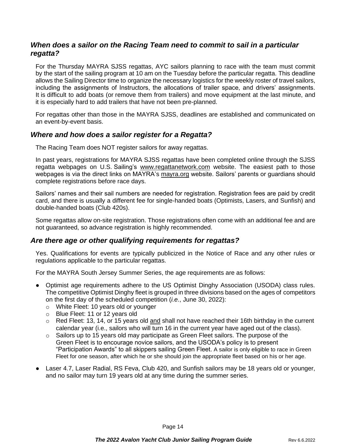# *When does a sailor on the Racing Team need to commit to sail in a particular regatta?*

For the Thursday MAYRA SJSS regattas, AYC sailors planning to race with the team must commit by the start of the sailing program at 10 am on the Tuesday before the particular regatta. This deadline allows the Sailing Director time to organize the necessary logistics for the weekly roster of travel sailors, including the assignments of Instructors, the allocations of trailer space, and drivers' assignments. It is difficult to add boats (or remove them from trailers) and move equipment at the last minute, and it is especially hard to add trailers that have not been pre-planned.

For regattas other than those in the MAYRA SJSS, deadlines are established and communicated on an event-by-event basis.

## *Where and how does a sailor register for a Regatta?*

The Racing Team does NOT register sailors for away regattas.

In past years, registrations for MAYRA SJSS regattas have been completed online through the SJSS regatta webpages on U.S. Sailing's www.regattanetwork.com website. The easiest path to those webpages is via the direct links on MAYRA's mayra.org website. Sailors' parents or guardians should complete registrations before race days.

Sailors' names and their sail numbers are needed for registration. Registration fees are paid by credit card, and there is usually a different fee for single-handed boats (Optimists, Lasers, and Sunfish) and double-handed boats (Club 420s).

Some regattas allow on-site registration. Those registrations often come with an additional fee and are not guaranteed, so advance registration is highly recommended.

## *Are there age or other qualifying requirements for regattas?*

Yes. Qualifications for events are typically publicized in the Notice of Race and any other rules or regulations applicable to the particular regattas.

For the MAYRA South Jersey Summer Series, the age requirements are as follows:

- Optimist age requirements adhere to the US Optimist Dinghy Association (USODA) class rules. The competitive Optimist Dinghy fleet is grouped in three divisions based on the ages of competitors on the first day of the scheduled competition (*i.e.*, June 30, 2022):
	- o White Fleet: 10 years old or younger
	- o Blue Fleet: 11 or 12 years old
	- $\circ$  Red Fleet: 13, 14, or 15 years old and shall not have reached their 16th birthday in the current calendar year (i.e., sailors who will turn 16 in the current year have aged out of the class).
	- $\circ$  Sailors up to 15 years old may participate as Green Fleet sailors. The purpose of the Green Fleet is to encourage novice sailors, and the USODA's policy is to present "Participation Awards" to all skippers sailing Green Fleet. A sailor is only eligible to race in Green Fleet for one season, after which he or she should join the appropriate fleet based on his or her age.
- Laser 4.7, Laser Radial, RS Feva, Club 420, and Sunfish sailors may be 18 years old or younger, and no sailor may turn 19 years old at any time during the summer series.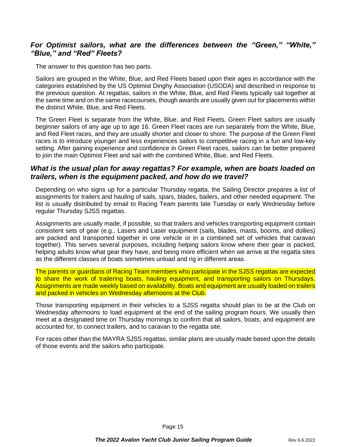# *For Optimist sailors, what are the differences between the "Green," "White," "Blue," and "Red" Fleets?*

The answer to this question has two parts.

Sailors are grouped in the White, Blue, and Red Fleets based upon their ages in accordance with the categories established by the US Optimist Dinghy Association (USODA) and described in response to the previous question. At regattas, sailors in the White, Blue, and Red Fleets typically sail together at the same time and on the same racecourses, though awards are usually given out for placements within the distinct White, Blue, and Red Fleets.

The Green Fleet is separate from the White, Blue, and Red Fleets. Green Fleet sailors are usually beginner sailors of any age up to age 16. Green Fleet races are run separately from the White, Blue, and Red Fleet races, and they are usually shorter and closer to shore. The purpose of the Green Fleet races is to introduce younger and less experiences sailors to competitive racing in a fun and low-key setting. After gaining experience and confidence in Green Fleet races, sailors can be better prepared to join the main Optimist Fleet and sail with the combined White, Blue, and Red Fleets.

# *What is the usual plan for away regattas? For example, when are boats loaded on trailers, when is the equipment packed, and how do we travel?*

Depending on who signs up for a particular Thursday regatta, the Sailing Director prepares a list of assignments for trailers and hauling of sails, spars, blades, bailers, and other needed equipment. The list is usually distributed by email to Racing Team parents late Tuesday or early Wednesday before regular Thursday SJSS regattas.

Assignments are usually made, if possible, so that trailers and vehicles transporting equipment contain consistent sets of gear (e.g., Lasers and Laser equipment (sails, blades, masts, booms, and dollies) are packed and transported together in one vehicle or in a combined set of vehicles that caravan together). This serves several purposes, including helping sailors know where their gear is packed, helping adults know what gear they have, and being more efficient when we arrive at the regatta sites as the different classes of boats sometimes unload and rig in different areas.

The parents or guardians of Racing Team members who participate in the SJSS regattas are expected to share the work of trailering boats, hauling equipment, and transporting sailors on Thursdays. Assignments are made weekly based on availability. Boats and equipment are usually loaded on trailers and packed in vehicles on Wednesday afternoons at the Club.

Those transporting equipment in their vehicles to a SJSS regatta should plan to be at the Club on Wednesday afternoons to load equipment at the end of the sailing program hours. We usually then meet at a designated time on Thursday mornings to confirm that all sailors, boats, and equipment are accounted for, to connect trailers, and to caravan to the regatta site.

For races other than the MAYRA SJSS regattas, similar plans are usually made based upon the details of those events and the sailors who participate.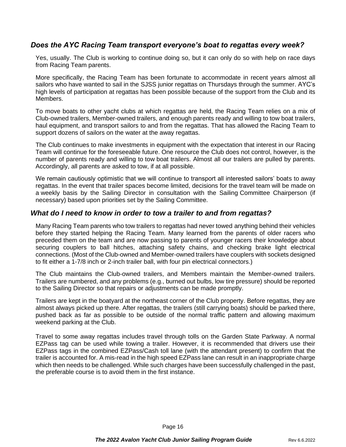# *Does the AYC Racing Team transport everyone's boat to regattas every week?*

Yes, usually. The Club is working to continue doing so, but it can only do so with help on race days from Racing Team parents.

More specifically, the Racing Team has been fortunate to accommodate in recent years almost all sailors who have wanted to sail in the SJSS junior regattas on Thursdays through the summer. AYC's high levels of participation at regattas has been possible because of the support from the Club and its Members.

To move boats to other yacht clubs at which regattas are held, the Racing Team relies on a mix of Club-owned trailers, Member-owned trailers, and enough parents ready and willing to tow boat trailers, haul equipment, and transport sailors to and from the regattas. That has allowed the Racing Team to support dozens of sailors on the water at the away regattas.

The Club continues to make investments in equipment with the expectation that interest in our Racing Team will continue for the foreseeable future. One resource the Club does not control, however, is the number of parents ready and willing to tow boat trailers. Almost all our trailers are pulled by parents. Accordingly, all parents are asked to tow, if at all possible.

We remain cautiously optimistic that we will continue to transport all interested sailors' boats to away regattas. In the event that trailer spaces become limited, decisions for the travel team will be made on a weekly basis by the Sailing Director in consultation with the Sailing Committee Chairperson (if necessary) based upon priorities set by the Sailing Committee.

#### *What do I need to know in order to tow a trailer to and from regattas?*

Many Racing Team parents who tow trailers to regattas had never towed anything behind their vehicles before they started helping the Racing Team. Many learned from the parents of older racers who preceded them on the team and are now passing to parents of younger racers their knowledge about securing couplers to ball hitches, attaching safety chains, and checking brake light electrical connections. (Most of the Club-owned and Member-owned trailers have couplers with sockets designed to fit either a 1-7/8 inch or 2-inch trailer ball, with four pin electrical connectors.)

The Club maintains the Club-owned trailers, and Members maintain the Member-owned trailers. Trailers are numbered, and any problems (e.g., burned out bulbs, low tire pressure) should be reported to the Sailing Director so that repairs or adjustments can be made promptly.

Trailers are kept in the boatyard at the northeast corner of the Club property. Before regattas, they are almost always picked up there. After regattas, the trailers (still carrying boats) should be parked there, pushed back as far as possible to be outside of the normal traffic pattern and allowing maximum weekend parking at the Club.

Travel to some away regattas includes travel through tolls on the Garden State Parkway. A normal EZPass tag can be used while towing a trailer. However, it is recommended that drivers use their EZPass tags in the combined EZPass/Cash toll lane (with the attendant present) to confirm that the trailer is accounted for. A mis-read in the high speed EZPass lane can result in an inappropriate charge which then needs to be challenged. While such charges have been successfully challenged in the past, the preferable course is to avoid them in the first instance.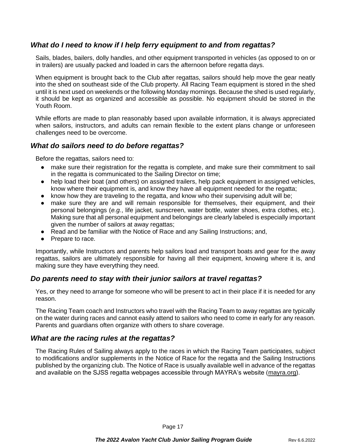# *What do I need to know if I help ferry equipment to and from regattas?*

Sails, blades, bailers, dolly handles, and other equipment transported in vehicles (as opposed to on or in trailers) are usually packed and loaded in cars the afternoon before regatta days.

When equipment is brought back to the Club after regattas, sailors should help move the gear neatly into the shed on southeast side of the Club property. All Racing Team equipment is stored in the shed until it is next used on weekends or the following Monday mornings. Because the shed is used regularly, it should be kept as organized and accessible as possible. No equipment should be stored in the Youth Room.

While efforts are made to plan reasonably based upon available information, it is always appreciated when sailors, instructors, and adults can remain flexible to the extent plans change or unforeseen challenges need to be overcome.

## *What do sailors need to do before regattas?*

Before the regattas, sailors need to:

- make sure their registration for the regatta is complete, and make sure their commitment to sail in the regatta is communicated to the Sailing Director on time;
- help load their boat (and others) on assigned trailers, help pack equipment in assigned vehicles, know where their equipment is, and know they have all equipment needed for the regatta;
- know how they are traveling to the regatta, and know who their supervising adult will be;
- make sure they are and will remain responsible for themselves, their equipment, and their personal belongings (*e.g.*, life jacket, sunscreen, water bottle, water shoes, extra clothes, etc.). Making sure that all personal equipment and belongings are clearly labeled is especially important given the number of sailors at away regattas;
- Read and be familiar with the Notice of Race and any Sailing Instructions; and,
- Prepare to race.

Importantly, while Instructors and parents help sailors load and transport boats and gear for the away regattas, sailors are ultimately responsible for having all their equipment, knowing where it is, and making sure they have everything they need.

## *Do parents need to stay with their junior sailors at travel regattas?*

Yes, or they need to arrange for someone who will be present to act in their place if it is needed for any reason.

The Racing Team coach and Instructors who travel with the Racing Team to away regattas are typically on the water during races and cannot easily attend to sailors who need to come in early for any reason. Parents and guardians often organize with others to share coverage.

#### *What are the racing rules at the regattas?*

The Racing Rules of Sailing always apply to the races in which the Racing Team participates, subject to modifications and/or supplements in the Notice of Race for the regatta and the Sailing Instructions published by the organizing club. The Notice of Race is usually available well in advance of the regattas and available on the SJSS regatta webpages accessible through MAYRA's website (mayra.org).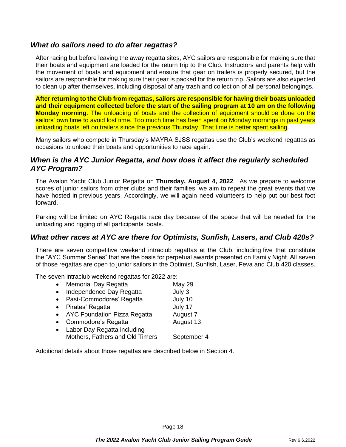## *What do sailors need to do after regattas?*

After racing but before leaving the away regatta sites, AYC sailors are responsible for making sure that their boats and equipment are loaded for the return trip to the Club. Instructors and parents help with the movement of boats and equipment and ensure that gear on trailers is properly secured, but the sailors are responsible for making sure their gear is packed for the return trip. Sailors are also expected to clean up after themselves, including disposal of any trash and collection of all personal belongings.

**After returning to the Club from regattas, sailors are responsible for having their boats unloaded and their equipment collected before the start of the sailing program at 10 am on the following Monday morning**. The unloading of boats and the collection of equipment should be done on the sailors' own time to avoid lost time. Too much time has been spent on Monday mornings in past years unloading boats left on trailers since the previous Thursday. That time is better spent sailing.

Many sailors who compete in Thursday's MAYRA SJSS regattas use the Club's weekend regattas as occasions to unload their boats and opportunities to race again.

# *When is the AYC Junior Regatta, and how does it affect the regularly scheduled AYC Program?*

The Avalon Yacht Club Junior Regatta on **Thursday, August 4, 2022**. As we prepare to welcome scores of junior sailors from other clubs and their families, we aim to repeat the great events that we have hosted in previous years. Accordingly, we will again need volunteers to help put our best foot forward.

Parking will be limited on AYC Regatta race day because of the space that will be needed for the unloading and rigging of all participants' boats.

# *What other races at AYC are there for Optimists, Sunfish, Lasers, and Club 420s?*

There are seven competitive weekend intraclub regattas at the Club, including five that constitute the "AYC Summer Series" that are the basis for perpetual awards presented on Family Night. All seven of those regattas are open to junior sailors in the Optimist, Sunfish, Laser, Feva and Club 420 classes.

The seven intraclub weekend regattas for 2022 are:

| $\bullet$ | <b>Memorial Day Regatta</b>         | <b>May 29</b> |
|-----------|-------------------------------------|---------------|
| $\bullet$ | Independence Day Regatta            | July 3        |
| $\bullet$ | Past-Commodores' Regatta            | July 10       |
| $\bullet$ | Pirates' Regatta                    | July 17       |
| $\bullet$ | <b>AYC Foundation Pizza Regatta</b> | August 7      |
| $\bullet$ | Commodore's Regatta                 | August 13     |
| $\bullet$ | Labor Day Regatta including         |               |
|           | Mothers, Fathers and Old Timers     | September 4   |
|           |                                     |               |

Additional details about those regattas are described below in Section 4.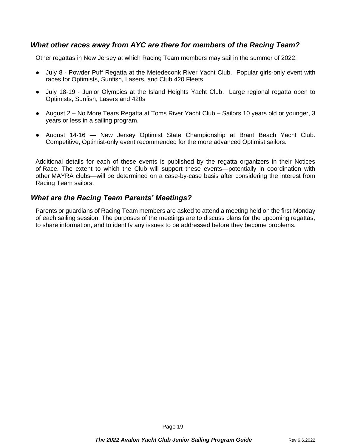# *What other races away from AYC are there for members of the Racing Team?*

Other regattas in New Jersey at which Racing Team members may sail in the summer of 2022:

- July 8 Powder Puff Regatta at the Metedeconk River Yacht Club. Popular girls-only event with races for Optimists, Sunfish, Lasers, and Club 420 Fleets
- July 18-19 Junior Olympics at the Island Heights Yacht Club. Large regional regatta open to Optimists, Sunfish, Lasers and 420s
- August 2 No More Tears Regatta at Toms River Yacht Club Sailors 10 years old or younger, 3 years or less in a sailing program.
- August 14-16 New Jersey Optimist State Championship at Brant Beach Yacht Club. Competitive, Optimist-only event recommended for the more advanced Optimist sailors.

Additional details for each of these events is published by the regatta organizers in their Notices of Race. The extent to which the Club will support these events—potentially in coordination with other MAYRA clubs—will be determined on a case-by-case basis after considering the interest from Racing Team sailors.

# *What are the Racing Team Parents' Meetings?*

Parents or guardians of Racing Team members are asked to attend a meeting held on the first Monday of each sailing session. The purposes of the meetings are to discuss plans for the upcoming regattas, to share information, and to identify any issues to be addressed before they become problems.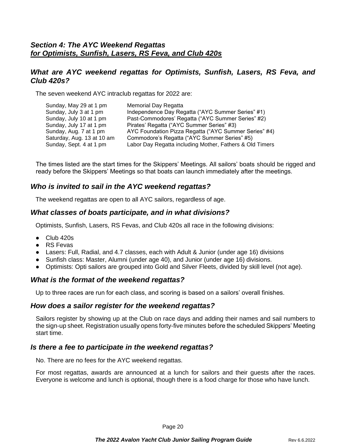# *What are AYC weekend regattas for Optimists, Sunfish, Lasers, RS Feva, and Club 420s?*

The seven weekend AYC intraclub regattas for 2022 are:

| Sunday, May 29 at 1 pm     | Memorial Day Regatta                                     |
|----------------------------|----------------------------------------------------------|
| Sunday, July 3 at 1 pm     | Independence Day Regatta ("AYC Summer Series" #1)        |
| Sunday, July 10 at 1 pm    | Past-Commodores' Regatta ("AYC Summer Series" #2)        |
| Sunday, July 17 at 1 pm    | Pirates' Regatta ("AYC Summer Series" #3)                |
| Sunday, Aug. 7 at 1 pm     | AYC Foundation Pizza Regatta ("AYC Summer Series" #4)    |
| Saturday, Aug. 13 at 10 am | Commodore's Regatta ("AYC Summer Series" #5)             |
| Sunday, Sept. 4 at 1 pm    | Labor Day Regatta including Mother, Fathers & Old Timers |

The times listed are the start times for the Skippers' Meetings. All sailors' boats should be rigged and ready before the Skippers' Meetings so that boats can launch immediately after the meetings.

# *Who is invited to sail in the AYC weekend regattas?*

The weekend regattas are open to all AYC sailors, regardless of age.

## *What classes of boats participate, and in what divisions?*

Optimists, Sunfish, Lasers, RS Fevas, and Club 420s all race in the following divisions:

- $\bullet$  Club 420s
- RS Fevas
- Lasers: Full, Radial, and 4.7 classes, each with Adult & Junior (under age 16) divisions
- Sunfish class: Master, Alumni (under age 40), and Junior (under age 16) divisions.
- Optimists: Opti sailors are grouped into Gold and Silver Fleets, divided by skill level (not age).

## *What is the format of the weekend regattas?*

Up to three races are run for each class, and scoring is based on a sailors' overall finishes.

## *How does a sailor register for the weekend regattas?*

Sailors register by showing up at the Club on race days and adding their names and sail numbers to the sign-up sheet. Registration usually opens forty-five minutes before the scheduled Skippers' Meeting start time.

## *Is there a fee to participate in the weekend regattas?*

No. There are no fees for the AYC weekend regattas.

For most regattas, awards are announced at a lunch for sailors and their guests after the races. Everyone is welcome and lunch is optional, though there is a food charge for those who have lunch.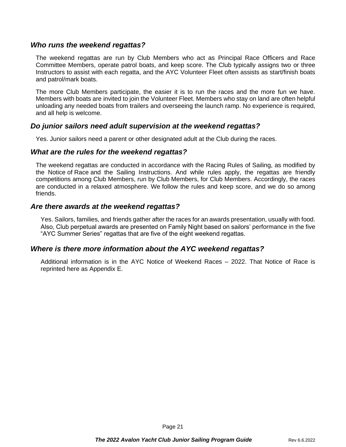#### *Who runs the weekend regattas?*

The weekend regattas are run by Club Members who act as Principal Race Officers and Race Committee Members, operate patrol boats, and keep score. The Club typically assigns two or three Instructors to assist with each regatta, and the AYC Volunteer Fleet often assists as start/finish boats and patrol/mark boats.

The more Club Members participate, the easier it is to run the races and the more fun we have. Members with boats are invited to join the Volunteer Fleet. Members who stay on land are often helpful unloading any needed boats from trailers and overseeing the launch ramp. No experience is required, and all help is welcome.

#### *Do junior sailors need adult supervision at the weekend regattas?*

Yes. Junior sailors need a parent or other designated adult at the Club during the races.

#### *What are the rules for the weekend regattas?*

The weekend regattas are conducted in accordance with the Racing Rules of Sailing, as modified by the Notice of Race and the Sailing Instructions. And while rules apply, the regattas are friendly competitions among Club Members, run by Club Members, for Club Members. Accordingly, the races are conducted in a relaxed atmosphere. We follow the rules and keep score, and we do so among friends.

#### *Are there awards at the weekend regattas?*

Yes. Sailors, families, and friends gather after the races for an awards presentation, usually with food. Also, Club perpetual awards are presented on Family Night based on sailors' performance in the five "AYC Summer Series" regattas that are five of the eight weekend regattas.

## *Where is there more information about the AYC weekend regattas?*

Additional information is in the AYC Notice of Weekend Races – 2022. That Notice of Race is reprinted here as Appendix E.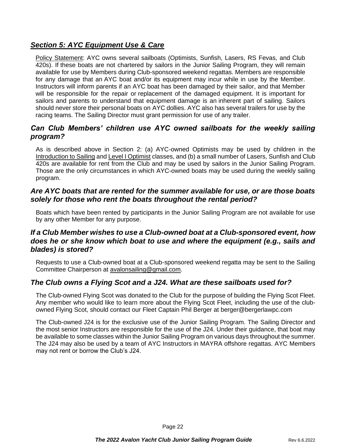# *Section 5: AYC Equipment Use & Care*

Policy Statement: AYC owns several sailboats (Optimists, Sunfish, Lasers, RS Fevas, and Club 420s). If these boats are not chartered by sailors in the Junior Sailing Program, they will remain available for use by Members during Club-sponsored weekend regattas. Members are responsible for any damage that an AYC boat and/or its equipment may incur while in use by the Member. Instructors will inform parents if an AYC boat has been damaged by their sailor, and that Member will be responsible for the repair or replacement of the damaged equipment. It is important for sailors and parents to understand that equipment damage is an inherent part of sailing. Sailors should never store their personal boats on AYC dollies. AYC also has several trailers for use by the racing teams. The Sailing Director must grant permission for use of any trailer.

# *Can Club Members' children use AYC owned sailboats for the weekly sailing program?*

As is described above in Section 2: (a) AYC-owned Optimists may be used by children in the Introduction to Sailing and Level I Optimist classes, and (b) a small number of Lasers, Sunfish and Club 420s are available for rent from the Club and may be used by sailors in the Junior Sailing Program. Those are the only circumstances in which AYC-owned boats may be used during the weekly sailing program.

# *Are AYC boats that are rented for the summer available for use, or are those boats solely for those who rent the boats throughout the rental period?*

Boats which have been rented by participants in the Junior Sailing Program are not available for use by any other Member for any purpose.

# *If a Club Member wishes to use a Club-owned boat at a Club-sponsored event, how does he or she know which boat to use and where the equipment (e.g., sails and blades) is stored?*

Requests to use a Club-owned boat at a Club-sponsored weekend regatta may be sent to the Sailing Committee Chairperson at [avalonsailing@gmail.com.](mailto:avalinsailing@gmail.com)

# *The Club owns a Flying Scot and a J24. What are these sailboats used for?*

The Club-owned Flying Scot was donated to the Club for the purpose of building the Flying Scot Fleet. Any member who would like to learn more about the Flying Scot Fleet, including the use of the clubowned Flying Scot, should contact our Fleet Captain Phil Berger at berger@bergerlawpc.com

The Club-owned J24 is for the exclusive use of the Junior Sailing Program. The Sailing Director and the most senior Instructors are responsible for the use of the J24. Under their guidance, that boat may be available to some classes within the Junior Sailing Program on various days throughout the summer. The J24 may also be used by a team of AYC Instructors in MAYRA offshore regattas. AYC Members may not rent or borrow the Club's J24.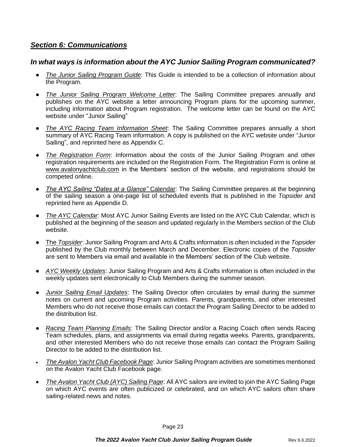# *Section 6: Communications*

# *In what ways is information about the AYC Junior Sailing Program communicated?*

- *The Junior Sailing Program Guide*: This Guide is intended to be a collection of information about the Program.
- *The Junior Sailing Program Welcome Letter*: The Sailing Committee prepares annually and publishes on the AYC website a letter announcing Program plans for the upcoming summer, including information about Program registration. The welcome letter can be found on the AYC website under "Junior Sailing"
- *The AYC Racing Team Information Sheet*: The Sailing Committee prepares annually a short summary of AYC Racing Team information. A copy is published on the AYC website under "Junior Sailing", and reprinted here as Appendix C.
- The Registration Form: Information about the costs of the Junior Sailing Program and other registration requirements are included on the Registration Form. The Registration Form is online at www.avalonyachtclub.com in the Members' section of the website, and registrations should be competed online.
- *The AYC Sailing "Dates at a Glance"* Calendar: The Sailing Committee prepares at the beginning of the sailing season a one-page list of scheduled events that is published in the *Topsider* and reprinted here as Appendix D.
- *The AYC Calendar*: Most AYC Junior Sailing Events are listed on the AYC Club Calendar, which is published at the beginning of the season and updated regularly in the Members section of the Club website.
- The *Topsider*: Junior Sailing Program and Arts & Crafts information is often included in the *Topsider* published by the Club monthly between March and December. Electronic copies of the *Topsider* are sent to Members via email and available in the Members' section of the Club website.
- *AYC Weekly Updates*: Junior Sailing Program and Arts & Crafts information is often included in the weekly updates sent electronically to Club Members during the summer season.
- *Junior Sailing Email Updates*: The Sailing Director often circulates by email during the summer notes on current and upcoming Program activities. Parents, grandparents, and other interested Members who do not receive those emails can contact the Program Sailing Director to be added to the distribution list.
- *Racing Team Planning Emails*: The Sailing Director and/or a Racing Coach often sends Racing Team schedules, plans, and assignments via email during regatta weeks. Parents, grandparents, and other interested Members who do not receive those emails can contact the Program Sailing Director to be added to the distribution list.
- *The Avalon Yacht Club Facebook Page*: Junior Sailing Program activities are sometimes mentioned on the Avalon Yacht Club Facebook page.
- *The Avalon Yacht Club (AYC) Sailing Page*: All AYC sailors are invited to join the AYC Sailing Page on which AYC events are often publicized or celebrated, and on which AYC sailors often share sailing-related news and notes.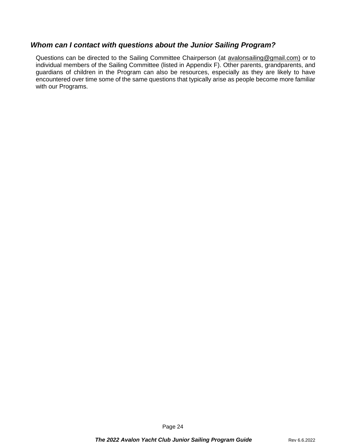# *Whom can I contact with questions about the Junior Sailing Program?*

Questions can be directed to the Sailing Committee Chairperson (at [avalonsailing@gmail.com\)](mailto:avalinsailing@gmail.com) or to individual members of the Sailing Committee (listed in Appendix F). Other parents, grandparents, and guardians of children in the Program can also be resources, especially as they are likely to have encountered over time some of the same questions that typically arise as people become more familiar with our Programs.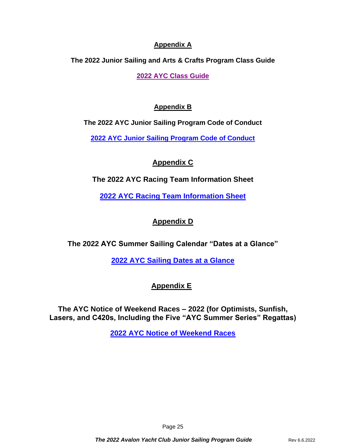# **Appendix A**

**The 2022 Junior Sailing and Arts & Crafts Program Class Guide**

**[2022 AYC Class Guide](https://avalonyachtclub.com/junior-sailing-program/class-guide/)**

# **Appendix B**

**The 2022 AYC Junior Sailing Program Code of Conduct**

**[2022 AYC Junior Sailing Program Code of Conduct](https://members.avalonyachtclub.com:8443/documents/10184/467161/2022+AYC+Junior+Sailing+Program+Code+of+Conduct.pdf/46044366-fd78-40a8-8410-222ff0cb5f1f)**

# **Appendix C**

**The 2022 AYC Racing Team Information Sheet**

**[2022 AYC Racing Team Information Sheet](https://members.avalonyachtclub.com:8443/documents/10184/467161/2022+AYC+Racing+Team+Information+Sheet.pdf/98211488-0518-4fcf-b1a4-6f4d1afac8d1)**

# **Appendix D**

**The 2022 AYC Summer Sailing Calendar "Dates at a Glance"**

**[2022 AYC Sailing Dates at a Glance](https://avalonyachtclub.com/wp-content/uploads/2022/03/2022-AYC-Sailing-Dates-at-a-Glance.pdf)**

# **Appendix E**

**The AYC Notice of Weekend Races – 2022 (for Optimists, Sunfish, Lasers, and C420s, Including the Five "AYC Summer Series" Regattas)**

**[2022 AYC Notice of Weekend Races](https://avalonyachtclub.com/wp-content/uploads/2022/03/2022-AYC-Notice-of-Weekend-Races.pdf)**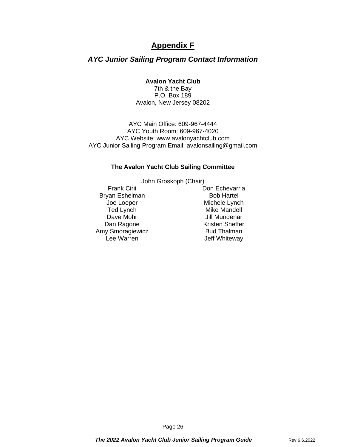# **Appendix F**

# *AYC Junior Sailing Program Contact Information*

#### **Avalon Yacht Club**

7th & the Bay P.O. Box 189 Avalon, New Jersey 08202

AYC Main Office: 609-967-4444 AYC Youth Room: 609-967-4020 AYC Website: www.avalonyachtclub.com AYC Junior Sailing Program Email: avalonsailing@gmail.com

#### **The Avalon Yacht Club Sailing Committee**

John Groskoph (Chair)

Bryan Eshelman Bob Hartel Amy Smoragiewicz Bud Thalman<br>Lee Warren between a beff Whiteway

Frank Cirii Don Echevarria Joe Loeper **Michele Lynch** Ted Lynch **Mike Mandell** Dave Mohr **Dave Mohr** Jill Mundenar Dan Ragone **Kristen Sheffer** Jeff Whiteway